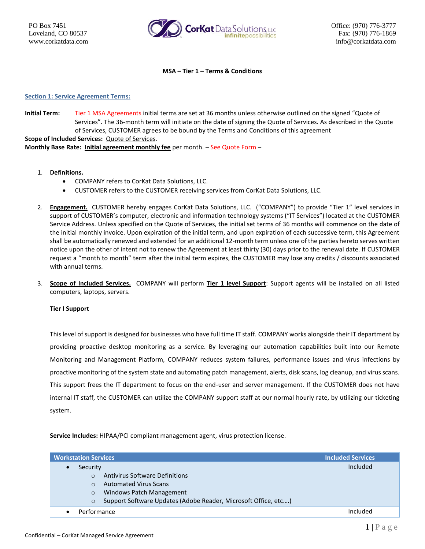

**MSA – Tier 1 – Terms & Conditions**

## **Section 1: Service Agreement Terms:**

**Initial Term:** Tier 1 MSA Agreements initial terms are set at 36 months unless otherwise outlined on the signed "Quote of Services". The 36-month term will initiate on the date of signing the Quote of Services. As described in the Quote of Services, CUSTOMER agrees to be bound by the Terms and Conditions of this agreement **Scope of Included Services:** Quote of Services. **Monthly Base Rate: Initial agreement monthly fee** per month. – See Quote Form –

- 1. **Definitions.**
	- COMPANY refers to CorKat Data Solutions, LLC.
	- CUSTOMER refers to the CUSTOMER receiving services from CorKat Data Solutions, LLC.
- 2. **Engagement.** CUSTOMER hereby engages CorKat Data Solutions, LLC. ("COMPANY") to provide "Tier 1" level services in support of CUSTOMER's computer, electronic and information technology systems ("IT Services") located at the CUSTOMER Service Address. Unless specified on the Quote of Services, the initial set terms of 36 months will commence on the date of the initial monthly invoice. Upon expiration of the initial term, and upon expiration of each successive term, this Agreement shall be automatically renewed and extended for an additional 12-month term unless one of the parties hereto serves written notice upon the other of intent not to renew the Agreement at least thirty (30) days prior to the renewal date. If CUSTOMER request a "month to month" term after the initial term expires, the CUSTOMER may lose any credits / discounts associated with annual terms.
- 3. **Scope of Included Services.** COMPANY will perform **Tier 1 level Support**: Support agents will be installed on all listed computers, laptops, servers.

## **Tier I Support**

This level of support is designed for businesses who have full time IT staff. COMPANY works alongside their IT department by providing proactive desktop monitoring as a service. By leveraging our automation capabilities built into our Remote Monitoring and Management Platform, COMPANY reduces system failures, performance issues and virus infections by proactive monitoring of the system state and automating patch management, alerts, disk scans, log cleanup, and virus scans. This support frees the IT department to focus on the end-user and server management. If the CUSTOMER does not have internal IT staff, the CUSTOMER can utilize the COMPANY support staff at our normal hourly rate, by utilizing our ticketing system.

**Service Includes:** HIPAA/PCI compliant management agent, virus protection license.

| <b>Workstation Services</b>                                               | <b>Included Services</b> |
|---------------------------------------------------------------------------|--------------------------|
| Security                                                                  | Included                 |
| <b>Antivirus Software Definitions</b><br>$\Omega$                         |                          |
| <b>Automated Virus Scans</b>                                              |                          |
| Windows Patch Management<br>$\circ$                                       |                          |
| Support Software Updates (Adobe Reader, Microsoft Office, etc)<br>$\circ$ |                          |
| Performance                                                               | Included                 |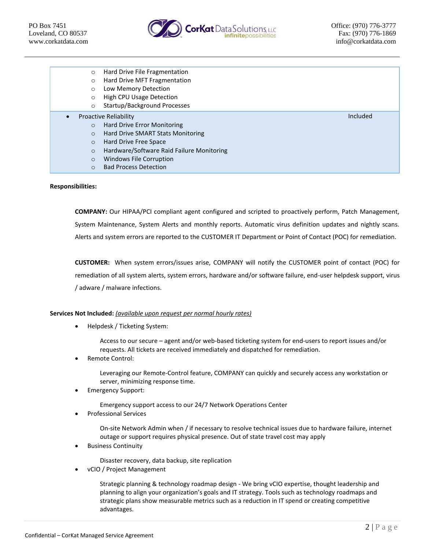

- o Hard Drive File Fragmentation
- o Hard Drive MFT Fragmentation
- o Low Memory Detection
- o High CPU Usage Detection
- o Startup/Background Processes
- Proactive Reliability
	- o Hard Drive Error Monitoring
	- o Hard Drive SMART Stats Monitoring
	- o Hard Drive Free Space
	- o Hardware/Software Raid Failure Monitoring
	- o Windows File Corruption
	- o Bad Process Detection

### **Responsibilities:**

**COMPANY:** Our HIPAA/PCI compliant agent configured and scripted to proactively perform, Patch Management, System Maintenance, System Alerts and monthly reports. Automatic virus definition updates and nightly scans. Alerts and system errors are reported to the CUSTOMER IT Department or Point of Contact (POC) for remediation.

**CUSTOMER:** When system errors/issues arise, COMPANY will notify the CUSTOMER point of contact (POC) for remediation of all system alerts, system errors, hardware and/or software failure, end-user helpdesk support, virus / adware / malware infections.

## **Services Not Included:** *(available upon request per normal hourly rates)*

• Helpdesk / Ticketing System:

Access to our secure – agent and/or web-based ticketing system for end-users to report issues and/or requests. All tickets are received immediately and dispatched for remediation.

Remote Control:

Leveraging our Remote-Control feature, COMPANY can quickly and securely access any workstation or server, minimizing response time.

• Emergency Support:

Emergency support access to our 24/7 Network Operations Center

• Professional Services

On-site Network Admin when / if necessary to resolve technical issues due to hardware failure, internet outage or support requires physical presence. Out of state travel cost may apply

• Business Continuity

Disaster recovery, data backup, site replication

• vCIO / Project Management

Strategic planning & technology roadmap design - We bring vCIO expertise, thought leadership and planning to align your organization's goals and IT strategy. Tools such as technology roadmaps and strategic plans show measurable metrics such as a reduction in IT spend or creating competitive advantages.

Included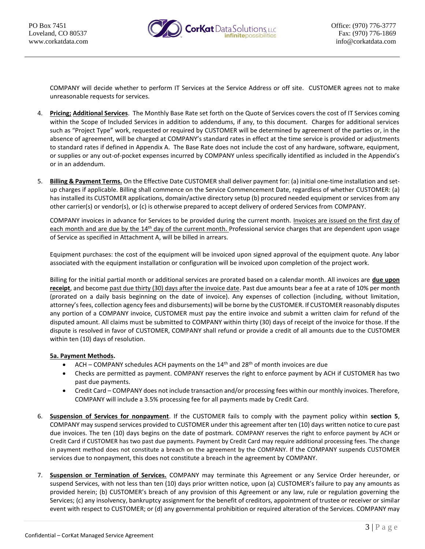

COMPANY will decide whether to perform IT Services at the Service Address or off site. CUSTOMER agrees not to make unreasonable requests for services.

- 4. **Pricing; Additional Services**. The Monthly Base Rate set forth on the Quote of Services covers the cost of IT Services coming within the Scope of Included Services in addition to addendums, if any, to this document. Charges for additional services such as "Project Type" work, requested or required by CUSTOMER will be determined by agreement of the parties or, in the absence of agreement, will be charged at COMPANY's standard rates in effect at the time service is provided or adjustments to standard rates if defined in Appendix A. The Base Rate does not include the cost of any hardware, software, equipment, or supplies or any out-of-pocket expenses incurred by COMPANY unless specifically identified as included in the Appendix's or in an addendum.
- 5. **Billing & Payment Terms.** On the Effective Date CUSTOMER shall deliver payment for: (a) initial one-time installation and setup charges if applicable. Billing shall commence on the Service Commencement Date, regardless of whether CUSTOMER: (a) has installed its CUSTOMER applications, domain/active directory setup (b) procured needed equipment or services from any other carrier(s) or vendor(s), or (c) is otherwise prepared to accept delivery of ordered Services from COMPANY.

COMPANY invoices in advance for Services to be provided during the current month. Invoices are issued on the first day of each month and are due by the 14<sup>th</sup> day of the current month. Professional service charges that are dependent upon usage of Service as specified in Attachment A, will be billed in arrears.

Equipment purchases: the cost of the equipment will be invoiced upon signed approval of the equipment quote. Any labor associated with the equipment installation or configuration will be invoiced upon completion of the project work.

Billing for the initial partial month or additional services are prorated based on a calendar month. All invoices are **due upon receipt**, and become past due thirty (30) days after the invoice date. Past due amounts bear a fee at a rate of 10% per month (prorated on a daily basis beginning on the date of invoice). Any expenses of collection (including, without limitation, attorney's fees, collection agency fees and disbursements) will be borne by the CUSTOMER. If CUSTOMER reasonably disputes any portion of a COMPANY invoice, CUSTOMER must pay the entire invoice and submit a written claim for refund of the disputed amount. All claims must be submitted to COMPANY within thirty (30) days of receipt of the invoice for those. If the dispute is resolved in favor of CUSTOMER, COMPANY shall refund or provide a credit of all amounts due to the CUSTOMER within ten (10) days of resolution.

# **5a. Payment Methods.**

- ACH COMPANY schedules ACH payments on the  $14^{\text{th}}$  and  $28^{\text{th}}$  of month invoices are due
- Checks are permitted as payment. COMPANY reserves the right to enforce payment by ACH if CUSTOMER has two past due payments.
- Credit Card COMPANY does not include transaction and/or processing fees within our monthly invoices. Therefore, COMPANY will include a 3.5% processing fee for all payments made by Credit Card.
- 6. **Suspension of Services for nonpayment**. If the CUSTOMER fails to comply with the payment policy within **section 5**, COMPANY may suspend services provided to CUSTOMER under this agreement after ten (10) days written notice to cure past due invoices. The ten (10) days begins on the date of postmark. COMPANY reserves the right to enforce payment by ACH or Credit Card if CUSTOMER has two past due payments. Payment by Credit Card may require additional processing fees. The change in payment method does not constitute a breach on the agreement by the COMPANY. If the COMPANY suspends CUSTOMER services due to nonpayment, this does not constitute a breach in the agreement by COMPANY.
- 7. **Suspension or Termination of Services.** COMPANY may terminate this Agreement or any Service Order hereunder, or suspend Services, with not less than ten (10) days prior written notice, upon (a) CUSTOMER's failure to pay any amounts as provided herein; (b) CUSTOMER's breach of any provision of this Agreement or any law, rule or regulation governing the Services; (c) any insolvency, bankruptcy assignment for the benefit of creditors, appointment of trustee or receiver or similar event with respect to CUSTOMER; or (d) any governmental prohibition or required alteration of the Services. COMPANY may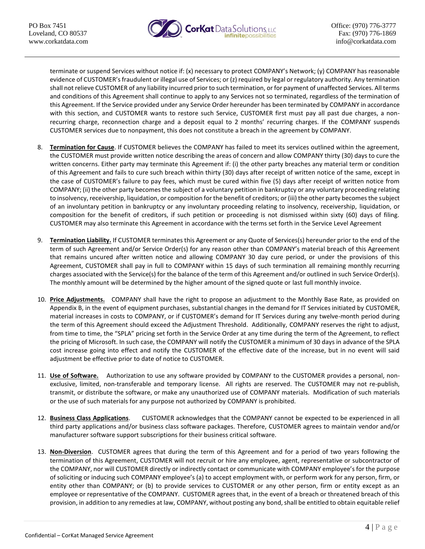

terminate or suspend Services without notice if: (x) necessary to protect COMPANY's Network; (y) COMPANY has reasonable evidence of CUSTOMER's fraudulent or illegal use of Services; or (z) required by legal or regulatory authority. Any termination shall not relieve CUSTOMER of any liability incurred prior to such termination, or for payment of unaffected Services. All terms and conditions of this Agreement shall continue to apply to any Services not so terminated, regardless of the termination of this Agreement. If the Service provided under any Service Order hereunder has been terminated by COMPANY in accordance with this section, and CUSTOMER wants to restore such Service, CUSTOMER first must pay all past due charges, a nonrecurring charge, reconnection charge and a deposit equal to 2 months' recurring charges. If the COMPANY suspends CUSTOMER services due to nonpayment, this does not constitute a breach in the agreement by COMPANY.

- 8. **Termination for Cause**. If CUSTOMER believes the COMPANY has failed to meet its services outlined within the agreement, the CUSTOMER must provide written notice describing the areas of concern and allow COMPANY thirty (30) days to cure the written concerns. Either party may terminate this Agreement if: (i) the other party breaches any material term or condition of this Agreement and fails to cure such breach within thirty (30) days after receipt of written notice of the same, except in the case of CUSTOMER's failure to pay fees, which must be cured within five (5) days after receipt of written notice from COMPANY; (ii) the other party becomes the subject of a voluntary petition in bankruptcy or any voluntary proceeding relating to insolvency, receivership, liquidation, or composition for the benefit of creditors; or (iii) the other party becomes the subject of an involuntary petition in bankruptcy or any involuntary proceeding relating to insolvency, receivership, liquidation, or composition for the benefit of creditors, if such petition or proceeding is not dismissed within sixty (60) days of filing. CUSTOMER may also terminate this Agreement in accordance with the terms set forth in the Service Level Agreement
- 9. **Termination Liability.** If CUSTOMER terminates this Agreement or any Quote of Services(s) hereunder prior to the end of the term of such Agreement and/or Service Order(s) for any reason other than COMPANY's material breach of this Agreement that remains uncured after written notice and allowing COMPANY 30 day cure period, or under the provisions of this Agreement, CUSTOMER shall pay in full to COMPANY within 15 days of such termination all remaining monthly recurring charges associated with the Service(s) for the balance of the term of this Agreement and/or outlined in such Service Order(s). The monthly amount will be determined by the higher amount of the signed quote or last full monthly invoice.
- 10. **Price Adjustments.** COMPANY shall have the right to propose an adjustment to the Monthly Base Rate, as provided on Appendix B, in the event of equipment purchases, substantial changes in the demand for IT Services initiated by CUSTOMER, material increases in costs to COMPANY, or if CUSTOMER's demand for IT Services during any twelve-month period during the term of this Agreement should exceed the Adjustment Threshold. Additionally, COMPANY reserves the right to adjust, from time to time, the "SPLA" pricing set forth in the Service Order at any time during the term of the Agreement, to reflect the pricing of Microsoft. In such case, the COMPANY will notify the CUSTOMER a minimum of 30 days in advance of the SPLA cost increase going into effect and notify the CUSTOMER of the effective date of the increase, but in no event will said adjustment be effective prior to date of notice to CUSTOMER.
- 11. **Use of Software.** Authorization to use any software provided by COMPANY to the CUSTOMER provides a personal, nonexclusive, limited, non-transferable and temporary license. All rights are reserved. The CUSTOMER may not re-publish, transmit, or distribute the software, or make any unauthorized use of COMPANY materials. Modification of such materials or the use of such materials for any purpose not authorized by COMPANY is prohibited.
- 12. **Business Class Applications**. CUSTOMER acknowledges that the COMPANY cannot be expected to be experienced in all third party applications and/or business class software packages. Therefore, CUSTOMER agrees to maintain vendor and/or manufacturer software support subscriptions for their business critical software.
- 13. **Non-Diversion**. CUSTOMER agrees that during the term of this Agreement and for a period of two years following the termination of this Agreement, CUSTOMER will not recruit or hire any employee, agent, representative or subcontractor of the COMPANY, nor will CUSTOMER directly or indirectly contact or communicate with COMPANY employee's for the purpose of soliciting or inducing such COMPANY employee's (a) to accept employment with, or perform work for any person, firm, or entity other than COMPANY; or (b) to provide services to CUSTOMER or any other person, firm or entity except as an employee or representative of the COMPANY. CUSTOMER agrees that, in the event of a breach or threatened breach of this provision, in addition to any remedies at law, COMPANY, without posting any bond, shall be entitled to obtain equitable relief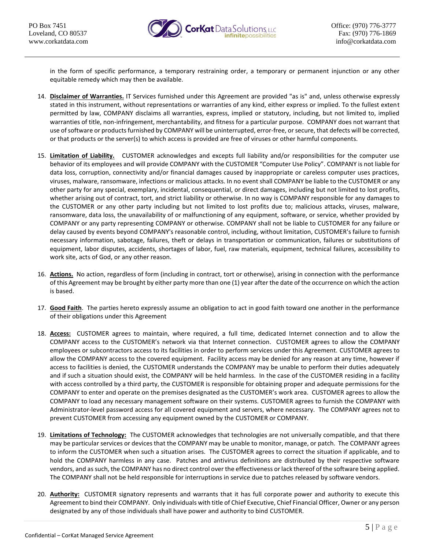

in the form of specific performance, a temporary restraining order, a temporary or permanent injunction or any other equitable remedy which may then be available.

- 14. **Disclaimer of Warranties.** IT Services furnished under this Agreement are provided "as is" and, unless otherwise expressly stated in this instrument, without representations or warranties of any kind, either express or implied. To the fullest extent permitted by law, COMPANY disclaims all warranties, express, implied or statutory, including, but not limited to, implied warranties of title, non-infringement, merchantability, and fitness for a particular purpose. COMPANY does not warrant that use of software or products furnished by COMPANY will be uninterrupted, error-free, or secure, that defects will be corrected, or that products or the server(s) to which access is provided are free of viruses or other harmful components.
- 15. **Limitation of Liability.** CUSTOMER acknowledges and excepts full liability and/or responsibilities for the computer use behavior of its employees and will provide COMPANY with the CUSTOMER "Computer Use Policy". COMPANY is not liable for data loss, corruption, connectivity and/or financial damages caused by inappropriate or careless computer uses practices, viruses, malware, ransomware, infections or malicious attacks. In no event shall COMPANY be liable to the CUSTOMER or any other party for any special, exemplary, incidental, consequential, or direct damages, including but not limited to lost profits, whether arising out of contract, tort, and strict liability or otherwise. In no way is COMPANY responsible for any damages to the CUSTOMER or any other party including but not limited to lost profits due to; malicious attacks, viruses, malware, ransomware, data loss, the unavailability of or malfunctioning of any equipment, software, or service, whether provided by COMPANY or any party representing COMPANY or otherwise. COMPANY shall not be liable to CUSTOMER for any failure or delay caused by events beyond COMPANY's reasonable control, including, without limitation, CUSTOMER's failure to furnish necessary information, sabotage, failures, theft or delays in transportation or communication, failures or substitutions of equipment, labor disputes, accidents, shortages of labor, fuel, raw materials, equipment, technical failures, accessibility to work site, acts of God, or any other reason.
- 16. **Actions.** No action, regardless of form (including in contract, tort or otherwise), arising in connection with the performance of this Agreement may be brought by either party more than one (1) year after the date of the occurrence on which the action is based.
- 17. **Good Faith**. The parties hereto expressly assume an obligation to act in good faith toward one another in the performance of their obligations under this Agreement
- 18. **Access:** CUSTOMER agrees to maintain, where required, a full time, dedicated Internet connection and to allow the COMPANY access to the CUSTOMER's network via that Internet connection. CUSTOMER agrees to allow the COMPANY employees or subcontractors access to its facilities in order to perform services under this Agreement. CUSTOMER agrees to allow the COMPANY access to the covered equipment. Facility access may be denied for any reason at any time, however if access to facilities is denied, the CUSTOMER understands the COMPANY may be unable to perform their duties adequately and if such a situation should exist, the COMPANY will be held harmless. In the case of the CUSTOMER residing in a facility with access controlled by a third party, the CUSTOMER is responsible for obtaining proper and adequate permissions for the COMPANY to enter and operate on the premises designated as the CUSTOMER's work area. CUSTOMER agrees to allow the COMPANY to load any necessary management software on their systems. CUSTOMER agrees to furnish the COMPANY with Administrator-level password access for all covered equipment and servers, where necessary. The COMPANY agrees not to prevent CUSTOMER from accessing any equipment owned by the CUSTOMER or COMPANY.
- 19. **Limitations of Technology:** The CUSTOMER acknowledges that technologies are not universally compatible, and that there may be particular services or devices that the COMPANY may be unable to monitor, manage, or patch. The COMPANY agrees to inform the CUSTOMER when such a situation arises. The CUSTOMER agrees to correct the situation if applicable, and to hold the COMPANY harmless in any case. Patches and antivirus definitions are distributed by their respective software vendors, and as such, the COMPANY has no direct control over the effectiveness or lack thereof of the software being applied. The COMPANY shall not be held responsible for interruptions in service due to patches released by software vendors.
- 20. **Authority:** CUSTOMER signatory represents and warrants that it has full corporate power and authority to execute this Agreement to bind their COMPANY. Only individuals with title of Chief Executive, Chief Financial Officer, Owner or any person designated by any of those individuals shall have power and authority to bind CUSTOMER.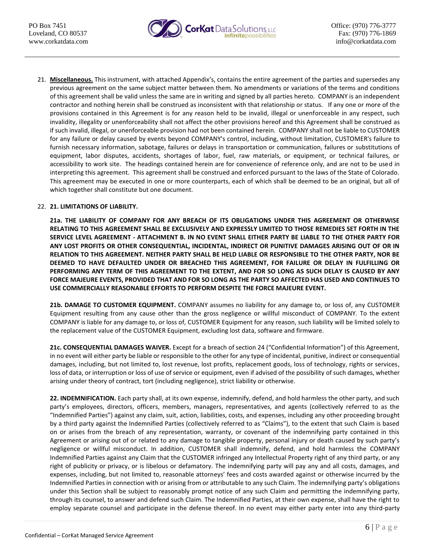

21. **Miscellaneous.** This instrument, with attached Appendix's, contains the entire agreement of the parties and supersedes any previous agreement on the same subject matter between them. No amendments or variations of the terms and conditions of this agreement shall be valid unless the same are in writing and signed by all parties hereto. COMPANY is an independent contractor and nothing herein shall be construed as inconsistent with that relationship or status. If any one or more of the provisions contained in this Agreement is for any reason held to be invalid, illegal or unenforceable in any respect, such invalidity, illegality or unenforceability shall not affect the other provisions hereof and this Agreement shall be construed as if such invalid, illegal, or unenforceable provision had not been contained herein. COMPANY shall not be liable to CUSTOMER for any failure or delay caused by events beyond COMPANY's control, including, without limitation, CUSTOMER's failure to furnish necessary information, sabotage, failures or delays in transportation or communication, failures or substitutions of equipment, labor disputes, accidents, shortages of labor, fuel, raw materials, or equipment, or technical failures, or accessibility to work site. The headings contained herein are for convenience of reference only, and are not to be used in interpreting this agreement. This agreement shall be construed and enforced pursuant to the laws of the State of Colorado. This agreement may be executed in one or more counterparts, each of which shall be deemed to be an original, but all of which together shall constitute but one document.

# 22. **21. LIMITATIONS OF LIABILITY.**

**21a. THE LIABILITY OF COMPANY FOR ANY BREACH OF ITS OBLIGATIONS UNDER THIS AGREEMENT OR OTHERWISE RELATING TO THIS AGREEMENT SHALL BE EXCLUSIVELY AND EXPRESSLY LIMITED TO THOSE REMEDIES SET FORTH IN THE SERVICE LEVEL AGREEMENT - ATTACHMENT B. IN NO EVENT SHALL EITHER PARTY BE LIABLE TO THE OTHER PARTY FOR ANY LOST PROFITS OR OTHER CONSEQUENTIAL, INCIDENTAL, INDIRECT OR PUNITIVE DAMAGES ARISING OUT OF OR IN RELATION TO THIS AGREEMENT. NEITHER PARTY SHALL BE HELD LIABLE OR RESPONSIBLE TO THE OTHER PARTY, NOR BE DEEMED TO HAVE DEFAULTED UNDER OR BREACHED THIS AGREEMENT, FOR FAILURE OR DELAY IN FULFILLING OR PERFORMING ANY TERM OF THIS AGREEMENT TO THE EXTENT, AND FOR SO LONG AS SUCH DELAY IS CAUSED BY ANY FORCE MAJEURE EVENTS, PROVIDED THAT AND FOR SO LONG AS THE PARTY SO AFFECTED HAS USED AND CONTINUES TO USE COMMERCIALLY REASONABLE EFFORTS TO PERFORM DESPITE THE FORCE MAJEURE EVENT.** 

**21b. DAMAGE TO CUSTOMER EQUIPMENT.** COMPANY assumes no liability for any damage to, or loss of, any CUSTOMER Equipment resulting from any cause other than the gross negligence or willful misconduct of COMPANY. To the extent COMPANY is liable for any damage to, or loss of, CUSTOMER Equipment for any reason, such liability will be limited solely to the replacement value of the CUSTOMER Equipment, excluding lost data, software and firmware.

**21c. CONSEQUENTIAL DAMAGES WAIVER.** Except for a breach of section 24 ("Confidential Information") of this Agreement, in no event will either party be liable or responsible to the other for any type of incidental, punitive, indirect or consequential damages, including, but not limited to, lost revenue, lost profits, replacement goods, loss of technology, rights or services, loss of data, or interruption or loss of use of service or equipment, even if advised of the possibility of such damages, whether arising under theory of contract, tort (including negligence), strict liability or otherwise.

**22. INDEMNIFICATION.** Each party shall, at its own expense, indemnify, defend, and hold harmless the other party, and such party's employees, directors, officers, members, managers, representatives, and agents (collectively referred to as the "Indemnified Parties") against any claim, suit, action, liabilities, costs, and expenses, including any other proceeding brought by a third party against the Indemnified Parties (collectively referred to as "Claims"), to the extent that such Claim is based on or arises from the breach of any representation, warranty, or covenant of the indemnifying party contained in this Agreement or arising out of or related to any damage to tangible property, personal injury or death caused by such party's negligence or willful misconduct. In addition, CUSTOMER shall indemnify, defend, and hold harmless the COMPANY Indemnified Parties against any Claim that the CUSTOMER infringed any Intellectual Property right of any third party, or any right of publicity or privacy, or is libelous or defamatory. The indemnifying party will pay any and all costs, damages, and expenses, including, but not limited to, reasonable attorneys' fees and costs awarded against or otherwise incurred by the Indemnified Parties in connection with or arising from or attributable to any such Claim. The indemnifying party's obligations under this Section shall be subject to reasonably prompt notice of any such Claim and permitting the indemnifying party, through its counsel, to answer and defend such Claim. The Indemnified Parties, at their own expense, shall have the right to employ separate counsel and participate in the defense thereof. In no event may either party enter into any third-party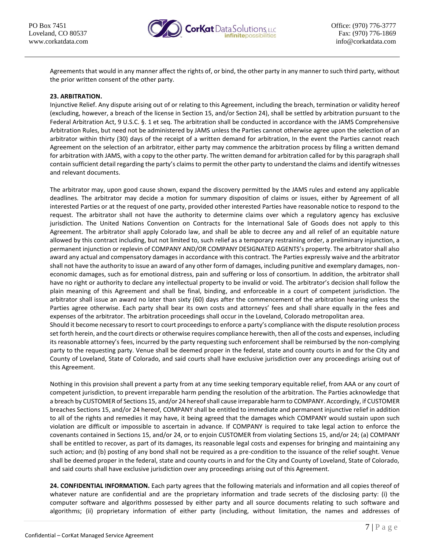

Agreements that would in any manner affect the rights of, or bind, the other party in any manner to such third party, without the prior written consent of the other party.

# **23. ARBITRATION.**

Injunctive Relief. Any dispute arising out of or relating to this Agreement, including the breach, termination or validity hereof (excluding, however, a breach of the license in Section 15, and/or Section 24), shall be settled by arbitration pursuant to the Federal Arbitration Act, 9 U.S.C. §. 1 et seq. The arbitration shall be conducted in accordance with the JAMS Comprehensive Arbitration Rules, but need not be administered by JAMS unless the Parties cannot otherwise agree upon the selection of an arbitrator within thirty (30) days of the receipt of a written demand for arbitration, In the event the Parties cannot reach Agreement on the selection of an arbitrator, either party may commence the arbitration process by filing a written demand for arbitration with JAMS, with a copy to the other party. The written demand for arbitration called for by this paragraph shall contain sufficient detail regarding the party's claims to permit the other party to understand the claims and identify witnesses and relevant documents.

The arbitrator may, upon good cause shown, expand the discovery permitted by the JAMS rules and extend any applicable deadlines. The arbitrator may decide a motion for summary disposition of claims or issues, either by Agreement of all interested Parties or at the request of one party, provided other interested Parties have reasonable notice to respond to the request. The arbitrator shall not have the authority to determine claims over which a regulatory agency has exclusive jurisdiction. The United Nations Convention on Contracts for the International Sale of Goods does not apply to this Agreement. The arbitrator shall apply Colorado law, and shall be able to decree any and all relief of an equitable nature allowed by this contract including, but not limited to, such relief as a temporary restraining order, a preliminary injunction, a permanent injunction or replevin of COMPANY AND/OR COMPANY DESIGNATED AGENTS's property. The arbitrator shall also award any actual and compensatory damages in accordance with this contract. The Parties expressly waive and the arbitrator shall not have the authority to issue an award of any other form of damages, including punitive and exemplary damages, noneconomic damages, such as for emotional distress, pain and suffering or loss of consortium. In addition, the arbitrator shall have no right or authority to declare any intellectual property to be invalid or void. The arbitrator's decision shall follow the plain meaning of this Agreement and shall be final, binding, and enforceable in a court of competent jurisdiction. The arbitrator shall issue an award no later than sixty (60) days after the commencement of the arbitration hearing unless the Parties agree otherwise. Each party shall bear its own costs and attorneys' fees and shall share equally in the fees and expenses of the arbitrator. The arbitration proceedings shall occur in the Loveland, Colorado metropolitan area. Should it become necessary to resort to court proceedings to enforce a party's compliance with the dispute resolution process set forth herein, and the court directs or otherwise requires compliance herewith, then all of the costs and expenses, including its reasonable attorney's fees, incurred by the party requesting such enforcement shall be reimbursed by the non-complying party to the requesting party. Venue shall be deemed proper in the federal, state and county courts in and for the City and County of Loveland, State of Colorado, and said courts shall have exclusive jurisdiction over any proceedings arising out of

Nothing in this provision shall prevent a party from at any time seeking temporary equitable relief, from AAA or any court of competent jurisdiction, to prevent irreparable harm pending the resolution of the arbitration. The Parties acknowledge that a breach by CUSTOMER of Sections 15, and/or 24 hereof shall cause irreparable harm to COMPANY. Accordingly, if CUSTOMER breaches Sections 15, and/or 24 hereof, COMPANY shall be entitled to immediate and permanent injunctive relief in addition to all of the rights and remedies it may have, it being agreed that the damages which COMPANY would sustain upon such violation are difficult or impossible to ascertain in advance. If COMPANY is required to take legal action to enforce the covenants contained in Sections 15, and/or 24, or to enjoin CUSTOMER from violating Sections 15, and/or 24; (a) COMPANY shall be entitled to recover, as part of its damages, its reasonable legal costs and expenses for bringing and maintaining any such action; and (b) posting of any bond shall not be required as a pre-condition to the issuance of the relief sought. Venue shall be deemed proper in the federal, state and county courts in and for the City and County of Loveland, State of Colorado, and said courts shall have exclusive jurisdiction over any proceedings arising out of this Agreement.

**24. CONFIDENTIAL INFORMATION.** Each party agrees that the following materials and information and all copies thereof of whatever nature are confidential and are the proprietary information and trade secrets of the disclosing party: (i) the computer software and algorithms possessed by either party and all source documents relating to such software and algorithms; (ii) proprietary information of either party (including, without limitation, the names and addresses of

this Agreement.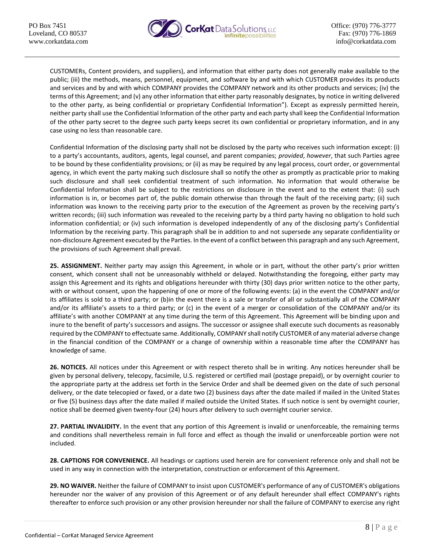

CUSTOMERs, Content providers, and suppliers), and information that either party does not generally make available to the public; (iii) the methods, means, personnel, equipment, and software by and with which CUSTOMER provides its products and services and by and with which COMPANY provides the COMPANY network and its other products and services; (iv) the terms of this Agreement; and (v) any other information that either party reasonably designates, by notice in writing delivered to the other party, as being confidential or proprietary Confidential Information"). Except as expressly permitted herein, neither party shall use the Confidential Information of the other party and each party shall keep the Confidential Information of the other party secret to the degree such party keeps secret its own confidential or proprietary information, and in any case using no less than reasonable care.

Confidential Information of the disclosing party shall not be disclosed by the party who receives such information except: (i) to a party's accountants, auditors, agents, legal counsel, and parent companies; *provided*, *however*, that such Parties agree to be bound by these confidentiality provisions; or (ii) as may be required by any legal process, court order, or governmental agency, in which event the party making such disclosure shall so notify the other as promptly as practicable prior to making such disclosure and shall seek confidential treatment of such information. No information that would otherwise be Confidential Information shall be subject to the restrictions on disclosure in the event and to the extent that: (i) such information is in, or becomes part of, the public domain otherwise than through the fault of the receiving party; (ii) such information was known to the receiving party prior to the execution of the Agreement as proven by the receiving party's written records; (iii) such information was revealed to the receiving party by a third party having no obligation to hold such information confidential; or (iv) such information is developed independently of any of the disclosing party's Confidential Information by the receiving party. This paragraph shall be in addition to and not supersede any separate confidentiality or non-disclosure Agreement executed by the Parties. In the event of a conflict between this paragraph and any such Agreement, the provisions of such Agreement shall prevail.

**25. ASSIGNMENT.** Neither party may assign this Agreement, in whole or in part, without the other party's prior written consent, which consent shall not be unreasonably withheld or delayed. Notwithstanding the foregoing, either party may assign this Agreement and its rights and obligations hereunder with thirty (30) days prior written notice to the other party, with or without consent, upon the happening of one or more of the following events: (a) in the event the COMPANY and/or its affiliates is sold to a third party; or (b)in the event there is a sale or transfer of all or substantially all of the COMPANY and/or its affiliate's assets to a third party; or (c) in the event of a merger or consolidation of the COMPANY and/or its affiliate's with another COMPANY at any time during the term of this Agreement. This Agreement will be binding upon and inure to the benefit of party's successors and assigns. The successor or assignee shall execute such documents as reasonably required by the COMPANY to effectuate same. Additionally, COMPANY shall notify CUSTOMER of any material adverse change in the financial condition of the COMPANY or a change of ownership within a reasonable time after the COMPANY has knowledge of same.

**26. NOTICES.** All notices under this Agreement or with respect thereto shall be in writing. Any notices hereunder shall be given by personal delivery, telecopy, facsimile, U.S. registered or certified mail (postage prepaid), or by overnight courier to the appropriate party at the address set forth in the Service Order and shall be deemed given on the date of such personal delivery, or the date telecopied or faxed, or a date two (2) business days after the date mailed if mailed in the United States or five (5) business days after the date mailed if mailed outside the United States. If such notice is sent by overnight courier, notice shall be deemed given twenty-four (24) hours after delivery to such overnight courier service.

**27. PARTIAL INVALIDITY.** In the event that any portion of this Agreement is invalid or unenforceable, the remaining terms and conditions shall nevertheless remain in full force and effect as though the invalid or unenforceable portion were not included.

**28. CAPTIONS FOR CONVENIENCE.** All headings or captions used herein are for convenient reference only and shall not be used in any way in connection with the interpretation, construction or enforcement of this Agreement.

**29. NO WAIVER.** Neither the failure of COMPANY to insist upon CUSTOMER's performance of any of CUSTOMER's obligations hereunder nor the waiver of any provision of this Agreement or of any default hereunder shall effect COMPANY's rights thereafter to enforce such provision or any other provision hereunder nor shall the failure of COMPANY to exercise any right